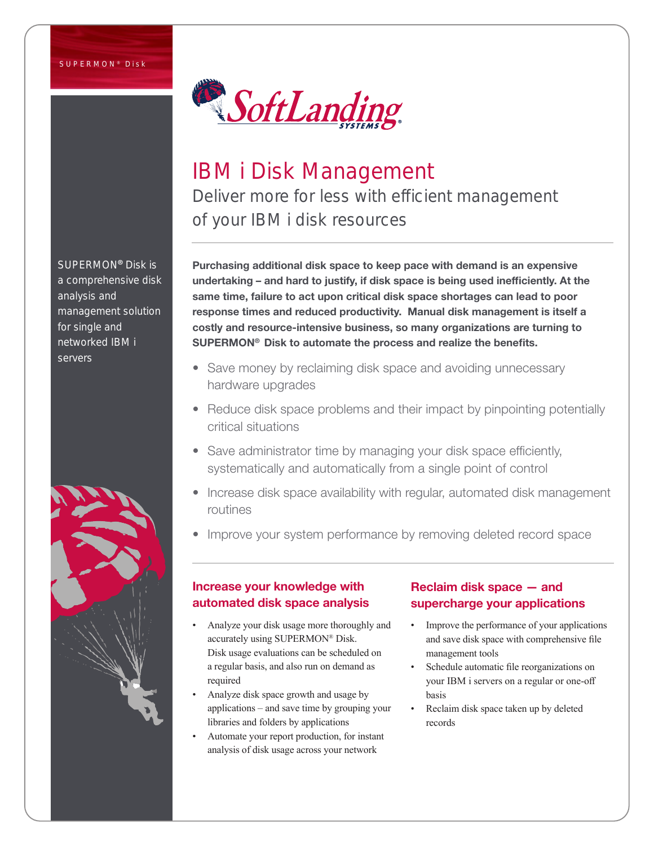

# IBM i Disk Management

Deliver more for less with efficient management of your IBM i disk resources

Purchasing additional disk space to keep pace with demand is an expensive undertaking – and hard to justify, if disk space is being used inefficiently. At the same time, failure to act upon critical disk space shortages can lead to poor response times and reduced productivity. Manual disk management is itself a costly and resource-intensive business, so many organizations are turning to SUPERMON® Disk to automate the process and realize the benefits.

- Save money by reclaiming disk space and avoiding unnecessary hardware upgrades
- Reduce disk space problems and their impact by pinpointing potentially critical situations
- Save administrator time by managing your disk space efficiently, systematically and automatically from a single point of control
- Increase disk space availability with regular, automated disk management routines
- Improve your system performance by removing deleted record space

## Increase your knowledge with automated disk space analysis

- Analyze your disk usage more thoroughly and accurately using SUPERMON® Disk. Disk usage evaluations can be scheduled on a regular basis, and also run on demand as required
- Analyze disk space growth and usage by applications – and save time by grouping your libraries and folders by applications
- Automate your report production, for instant analysis of disk usage across your network

## Reclaim disk space — and supercharge your applications

- Improve the performance of your applications and save disk space with comprehensive file management tools
- Schedule automatic file reorganizations on your IBM i servers on a regular or one-off basis
- Reclaim disk space taken up by deleted records

SUPERMON® Disk is a comprehensive disk analysis and management solution for single and networked IBM i servers